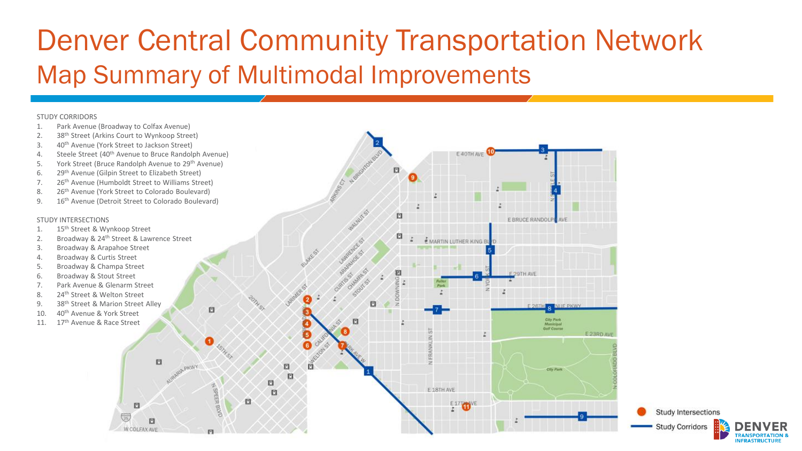# Denver Central Community Transportation Network Map Summary of Multimodal Improvements

E 40TH AV

Study Intersections

**Study Corridors** 

## STUDY CORRIDORS

- 1. Park Avenue (Broadway to Colfax Avenue)
- 2. 38<sup>th</sup> Street (Arkins Court to Wynkoop Street)
- 3. 40th Avenue (York Street to Jackson Street)
- 4. Steele Street (40<sup>th</sup> Avenue to Bruce Randolph Avenue)
- 5. York Street (Bruce Randolph Avenue to 29<sup>th</sup> Avenue)
- 6. 29th Avenue (Gilpin Street to Elizabeth Street)
- 7. 26<sup>th</sup> Avenue (Humboldt Street to Williams Street)
- 8. 26<sup>th</sup> Avenue (York Street to Colorado Boulevard)
- 9. 16<sup>th</sup> Avenue (Detroit Street to Colorado Boulevard)

## STUDY INTERSECTIONS

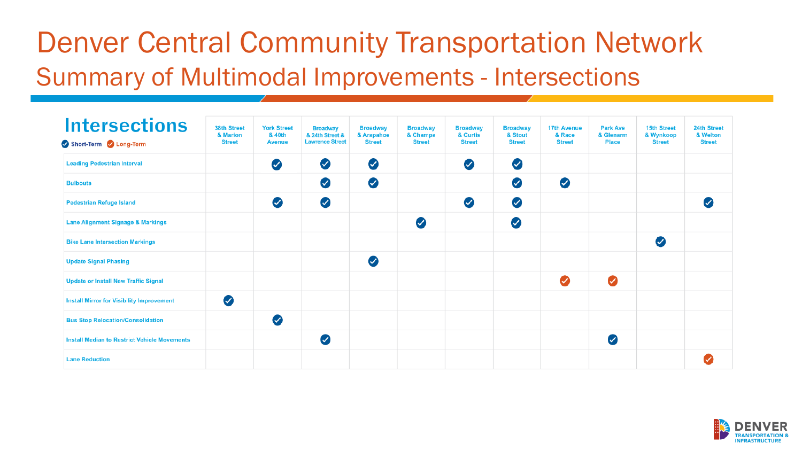# Denver Central Community Transportation Network Summary of Multimodal Improvements - Intersections

| <b>Intersections</b><br>Short-Term Long-Term        | 38th Street<br>& Marion<br><b>Street</b> | <b>York Street</b><br>& 40th<br><b>Avenue</b> | <b>Broadway</b><br>& 24th Street &<br><b>Lawrence Street</b> | <b>Broadway</b><br>& Arapahoe<br><b>Street</b> | <b>Broadway</b><br>& Champa<br><b>Street</b> | <b>Broadway</b><br>& Curtis<br><b>Street</b> | <b>Broadway</b><br>& Stout<br><b>Street</b> | <b>17th Avenue</b><br>& Race<br><b>Street</b> | <b>Park Ave</b><br>& Glenarm<br><b>Place</b> | <b>15th Street</b><br>& Wynkoop<br><b>Street</b> | 24th Street<br>& Welton<br><b>Street</b> |
|-----------------------------------------------------|------------------------------------------|-----------------------------------------------|--------------------------------------------------------------|------------------------------------------------|----------------------------------------------|----------------------------------------------|---------------------------------------------|-----------------------------------------------|----------------------------------------------|--------------------------------------------------|------------------------------------------|
| <b>Leading Pedestrian Interval</b>                  |                                          | $\bullet$                                     | $\bullet$                                                    | $\bullet$                                      |                                              | Ø                                            | $\bullet$                                   |                                               |                                              |                                                  |                                          |
| <b>Bulbouts</b>                                     |                                          |                                               | $\bullet$                                                    | $\bullet$                                      |                                              |                                              | ◙                                           | $\bullet$                                     |                                              |                                                  |                                          |
| <b>Pedestrian Refuge Island</b>                     |                                          | Ø                                             | Ø                                                            |                                                |                                              | Ø                                            | $\bullet$                                   |                                               |                                              |                                                  | ✓                                        |
| <b>Lane Alignment Signage &amp; Markings</b>        |                                          |                                               |                                                              |                                                | $\bullet$                                    |                                              | 0                                           |                                               |                                              |                                                  |                                          |
| <b>Bike Lane Intersection Markings</b>              |                                          |                                               |                                                              |                                                |                                              |                                              |                                             |                                               |                                              | $\bullet$                                        |                                          |
| <b>Update Signal Phasing</b>                        |                                          |                                               |                                                              | $\bullet$                                      |                                              |                                              |                                             |                                               |                                              |                                                  |                                          |
| <b>Update or Install New Traffic Signal</b>         |                                          |                                               |                                                              |                                                |                                              |                                              |                                             | $\bullet$                                     | ◙                                            |                                                  |                                          |
| <b>Install Mirror for Visibility Improvement</b>    | Ø                                        |                                               |                                                              |                                                |                                              |                                              |                                             |                                               |                                              |                                                  |                                          |
| <b>Bus Stop Relocation/Consolidation</b>            |                                          | Ø                                             |                                                              |                                                |                                              |                                              |                                             |                                               |                                              |                                                  |                                          |
| <b>Install Median to Restrict Vehicle Movements</b> |                                          |                                               | $\bullet$                                                    |                                                |                                              |                                              |                                             |                                               | Ø                                            |                                                  |                                          |
| <b>Lane Reduction</b>                               |                                          |                                               |                                                              |                                                |                                              |                                              |                                             |                                               |                                              |                                                  |                                          |

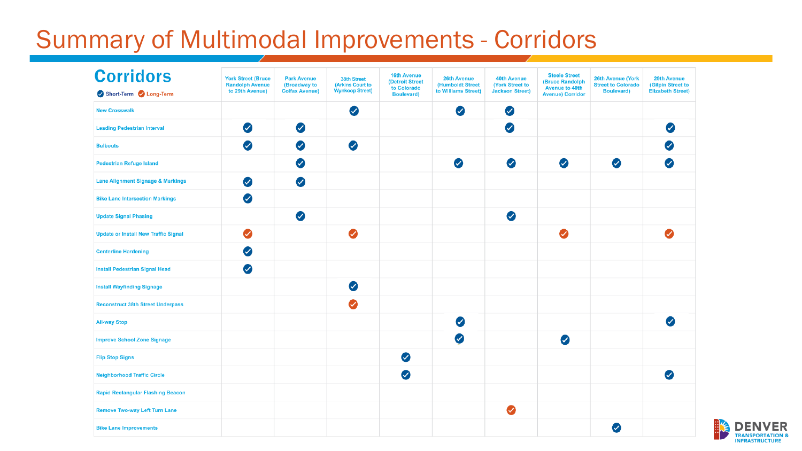## Summary of Multimodal Improvements - Corridors

| <b>Corridors</b>                             | <b>York Street (Bruce)</b><br><b>Randolph Avenue</b> | <b>Park Avenue</b><br>(Broadway to | 38th Street<br>(Arkins Court to | <b>16th Avenue</b><br>(Detroit Street | <b>26th Avenue</b><br>(Humboldt Street | <b>40th Avenue</b><br>(York Street to | <b>Steele Street</b><br><b>(Bruce Randolph</b>   | <b>26th Avenue (York</b><br><b>Street to Colorado</b> | <b>29th Avenue</b><br>(Gilpin Street to |
|----------------------------------------------|------------------------------------------------------|------------------------------------|---------------------------------|---------------------------------------|----------------------------------------|---------------------------------------|--------------------------------------------------|-------------------------------------------------------|-----------------------------------------|
| Short-Term 2 Long-Term                       | to 29th Avenue)                                      | <b>Colfax Avenue)</b>              | <b>Wynkoop Street)</b>          | to Colorado<br><b>Boulevard</b> )     | to Williams Street)                    | <b>Jackson Street)</b>                | <b>Avenue to 40th</b><br><b>Avenue) Corridor</b> | <b>Boulevard</b> )                                    | <b>Elizabeth Street)</b>                |
| <b>New Crosswalk</b>                         |                                                      |                                    | Ø                               |                                       | Ø                                      | ◙                                     |                                                  |                                                       |                                         |
| <b>Leading Pedestrian Interval</b>           | $\bullet$                                            | Ø                                  |                                 |                                       |                                        | $\bullet$                             |                                                  |                                                       | $\bullet$                               |
| <b>Bulbouts</b>                              | $\bullet$                                            | Ø                                  | $\bullet$                       |                                       |                                        |                                       |                                                  |                                                       | $\omega$                                |
| <b>Pedestrian Refuge Island</b>              |                                                      | Ø                                  |                                 |                                       | $\bullet$                              | $\bullet$                             | $\bullet$                                        | ◙                                                     | $\bullet$                               |
| <b>Lane Alignment Signage &amp; Markings</b> | $\bullet$                                            | Ø                                  |                                 |                                       |                                        |                                       |                                                  |                                                       |                                         |
| <b>Bike Lane Intersection Markings</b>       | $\bullet$                                            |                                    |                                 |                                       |                                        |                                       |                                                  |                                                       |                                         |
| <b>Update Signal Phasing</b>                 |                                                      | Ø                                  |                                 |                                       |                                        | $\bullet$                             |                                                  |                                                       |                                         |
| <b>Update or Install New Traffic Signal</b>  | ◙                                                    |                                    | ◙                               |                                       |                                        |                                       | ◙                                                |                                                       | $\bullet$                               |
| <b>Centerline Hardening</b>                  | Ø                                                    |                                    |                                 |                                       |                                        |                                       |                                                  |                                                       |                                         |
| <b>Install Pedestrian Signal Head</b>        | $\bullet$                                            |                                    |                                 |                                       |                                        |                                       |                                                  |                                                       |                                         |
| <b>Install Wayfinding Signage</b>            |                                                      |                                    | Ø                               |                                       |                                        |                                       |                                                  |                                                       |                                         |
| <b>Reconstruct 38th Street Underpass</b>     |                                                      |                                    | ◙                               |                                       |                                        |                                       |                                                  |                                                       |                                         |
| <b>All-way Stop</b>                          |                                                      |                                    |                                 |                                       | Ø                                      |                                       |                                                  |                                                       | $\bullet$                               |
| <b>Improve School Zone Signage</b>           |                                                      |                                    |                                 |                                       | Ø                                      |                                       | Ø                                                |                                                       |                                         |
| <b>Flip Stop Signs</b>                       |                                                      |                                    |                                 | $\bullet$                             |                                        |                                       |                                                  |                                                       |                                         |
| <b>Neighborhood Traffic Circle</b>           |                                                      |                                    |                                 | $\bullet$                             |                                        |                                       |                                                  |                                                       | $\bullet$                               |
| <b>Rapid Rectangular Flashing Beacon</b>     |                                                      |                                    |                                 |                                       |                                        |                                       |                                                  |                                                       |                                         |
| <b>Remove Two-way Left Turn Lane</b>         |                                                      |                                    |                                 |                                       |                                        | ◙                                     |                                                  |                                                       |                                         |
| <b>Bike Lane Improvements</b>                |                                                      |                                    |                                 |                                       |                                        |                                       |                                                  | $\bullet$                                             |                                         |